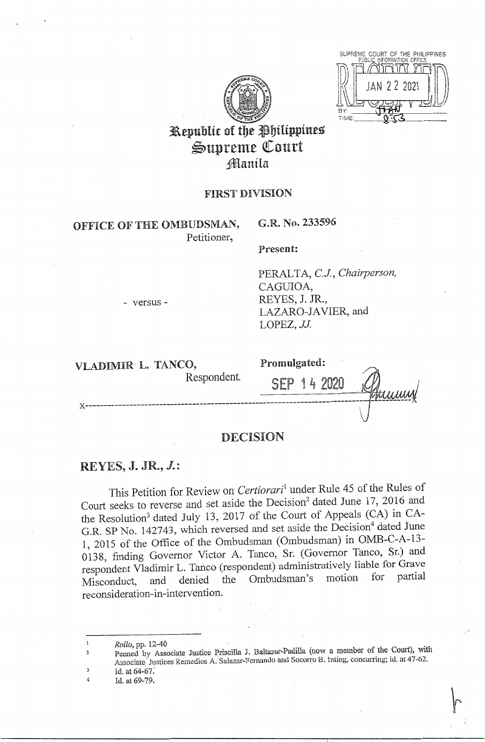

SUPREME COURT OF THE PHILIPPINES 22.202 **TIME** 

# Republic of the Philippines Supreme Court Manila

### **FIRST DIVISION**

# OFFICE OF THE OMBUDSMAN, Petitioner,

# G.R. No. 233596

Present:

PERALTA, C.J., Chairperson, CAGUIOA, REYES, J. JR., LAZARO-JAVIER, and LOPEZ, JJ.

VLADIMIR L. TANCO,

- versus -

Respondent.

Promulgated:

SEP 14 2020 Humm

# DECISION

# REYES, J. JR.,  $J$ .:

This Petition for Review on Certiorari<sup>1</sup> under Rule 45 of the Rules of Court seeks to reverse and set aside the Decision<sup>2</sup> dated June 17, 2016 and the Resolution<sup>3</sup> dated July 13, 2017 of the Court of Appeals (CA) in CA-G.R. SP No. 142743, which reversed and set aside the Decision<sup>4</sup> dated June 1, 2015 of the Office of the Ombudsman (Ombudsman) in OMB-C-A-13-0138, finding Governor Victor A. Tanco, Sr. (Governor Tanco, Sr.) and respondent Vladimir L. Tanco (respondent) administratively liable for Grave partial Ombudsman's motion for and denied the Misconduct, reconsideration-in-intervention.

Rollo, pp. 12-40

- Penned by Associate Justice Priscilla J. Baltazar-Padilla (now a member of the Court), with Associate Justices Remedios A. Salazar-Fernando and Socorro B. Inting, concurring; id. at 47-62. 3 Id. at 64-67.
- Id. at 69-79.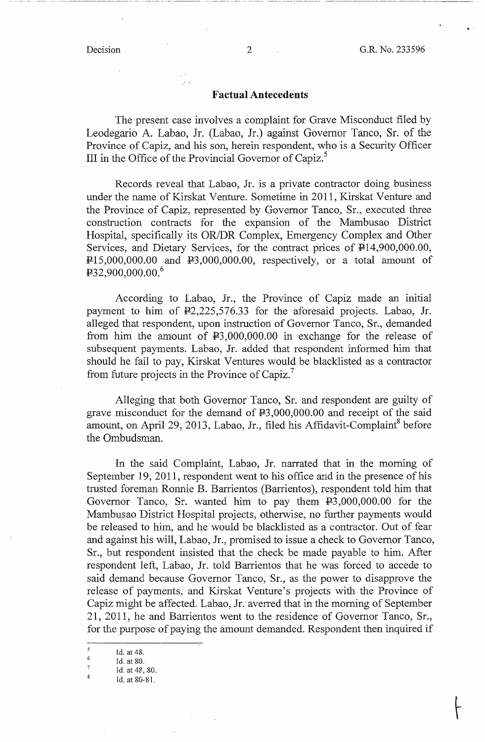### **Factual Antecedents**

The present case involves a complaint for Grave Misconduct filed by Leodegario A. Labao, Jr. (Labao, Jr.) against Governor Tanco, Sr. of the Province of Capiz, and his son, herein respondent, who is a Security Officer III in the Office of the Provincial Governor of Capiz.<sup>5</sup>

Records reveal that Labao, Jr. is a private contractor doing business under the name of Kirskat Venture. Sometime in 2011, Kirskat Venture and the Province of Capiz, represented by Governor Tanco, Sr., executed three construction contracts for the expansion of the Mambusao District Hospital, specifically its OR/DR Complex, Emergency Complex and Other Services, and Dietary Services, for the contract prices of  $\overline{P}14,900,000.00$ ,  $P15,000,000.00$  and  $P3,000,000.00$ , respectively, or a total amount of  $432,900,000.00^{6}$ 

According to Labao, Jr., the Province of Capiz made an initial payment to him of  $\frac{12,225,576.33}{2}$  for the aforesaid projects. Labao, Jr. alleged that respondent, upon instruction of Governor Tanco, Sr., demanded from him the amount of P3,000,000.00 in exchange for the release of subsequent payments. Labao, Jr. added that respondent informed him that should he fail to pay, Kirskat Ventures would be blacklisted as a contractor from future projects in the Province of Capiz.<sup>7</sup>

Alleging that both Governor Tanco, Sr. and respondent are guilty of grave misconduct for the demand of  $\text{\textsterling}3,000,000.00$  and receipt of the said amount, on April 29, 2013, Labao, Jr., filed his Affidavit-Complaint<sup>8</sup> before the Ombudsman.

In the said Complaint, Labao, Jr. narrated that in the morning of September 19, 2011, respondent went to his office and in the presence of his trusted foreman Ronnie B. Barrientos (Barrientos), respondent told him that Governor Tanco, Sr. wanted him to pay them  $E<sub>3</sub>,000,000.00$  for the Mambusao District Hospital projects, otherwise, no further payments would be released to him, and he would be blacklisted as a contractor. Out of fear and against his will, Labao, Jr., promised to issue a check to Governor Tanco, Sr., but respondent insisted that the check be made payable to him. After respondent left, Labao, Jr. told Barrientos that he was forced to accede to said demand because Governor Tanco, Sr., as the power to disapprove the release of payments, and Kirskat Venture's projects with the Province of Capiz might be affected. Labao, Jr. averred that in the morning of September 21, 2011, he and Barrientos went to the residence of Governor Tanco, Sr., for the purpose of paying the amount demanded. Respondent then inquired if

·- .. --· --· ·····-··· -·-··----·--------------- ---·----- ··- .. ------- ----··---· ··--------···- ·- --- - -·--···-·--- ·---·-· --------··-···----·- --------------------··-------~--

 $\begin{array}{r} 5 \ 6 \ 6 \ \end{array}$  Id. at 48.<br>
7<br>
Id. at 48, 80.<br>
8<br>  $\begin{array}{r} 8 \ 1 \ \end{array}$ 

<sup>8</sup> Id. at 80-81.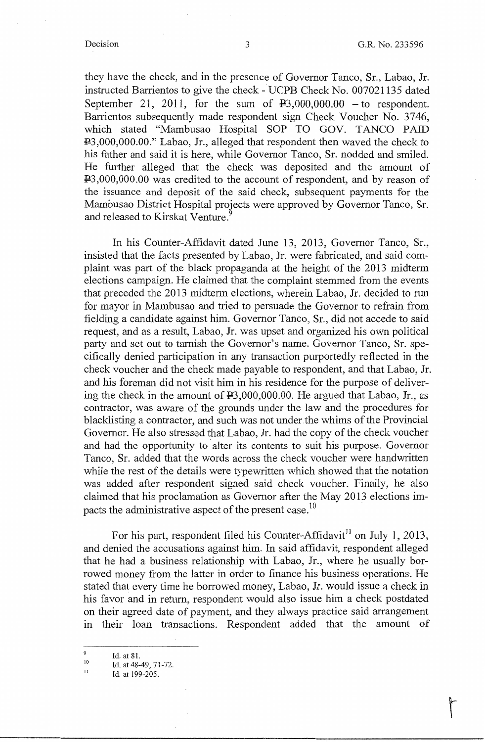they have the check, and in the presence of Governor Tanco, Sr., Labao, Jr. instructed Barrientos to give the check - UCPB Check No. 007021135 dated September 21, 2011, for the sum of  $\text{\textsterling}3,000,000.00 -$  to respondent. Barrientos subsequently made respondent sign Check Voucher No. 3746, which stated "Mambusao Hospital SOP TO GOV. TANCO PAID P3,000,000.00." Labao, Jr., alleged that respondent then waved the check to his father and said it is here, while Governor Tanco, Sr. nodded and smiled. He further alleged that the check was deposited and the amount of P3,000,000.00 was credited to the account of respondent, and by reason of the issuance and deposit of the said check, subsequent payments for the Mambusao District Hospital projects were approved by Governor Tanco, Sr. and released to Kirskat Venture.

In his Counter-Affidavit dated June 13, 2013, Governor Tanco, Sr., insisted that the facts presented by Labao, Jr. were fabricated, and said complaint was part of the black propaganda at the height of the 2013 midterm elections campaign. He claimed that the complaint stemmed from the events that preceded the 2013 midterm elections, wherein Labao, Jr. decided to run for mayor in Mambusao and tried to persuade the Governor to refrain from fielding a candidate against him. Governor Tanco, Sr., did not accede to said request, and as a result, Labao, Jr. was upset and organized his own political party and set out to tarnish the Governor's name. Governor Tanco, Sr. specifically denied participation in any transaction purportedly reflected in the check voucher and the check made payable to respondent, and that Labao, Jr. and his foreman did not visit him in his residence for the purpose of delivering the check in the amount of P3,000,000.00. He argued that Labao, Jr., as contractor, was aware of the grounds under the law and the procedures for blacklisting a contractor, and such was not under the whims of the Provincial Governor. He also stressed that Labao, Jr. had the copy of the check voucher and had the opportunity to alter its contents to suit his purpose. Governor Tanco, Sr. added that the words across the check voucher were handwritten while the rest of the details were typewritten which showed that the notation was added after respondent signed said check voucher. Finally, he also claimed that his proclamation as Governor after the May 2013 elections impacts the administrative aspect of the present case.<sup>10</sup>

For his part, respondent filed his Counter-Affidavit<sup>11</sup> on July 1, 2013, and denied the accusations against him. In said affidavit, respondent alleged that he had a business relationship with Labao, Jr., where he usually borrowed money from the latter in order to finance his business operations. He stated that every time he borrowed money, Labao, Jr. would issue a check in his favor and in return, respondent would also issue him a check postdated on their agreed date of payment, and they always practice said arrangement m their loan transactions. Respondent added that the amount of

<sup>9</sup>  Id. at 81.

<sup>10</sup>  Id. at 48-49, 71-72.

II Id. at 199-205.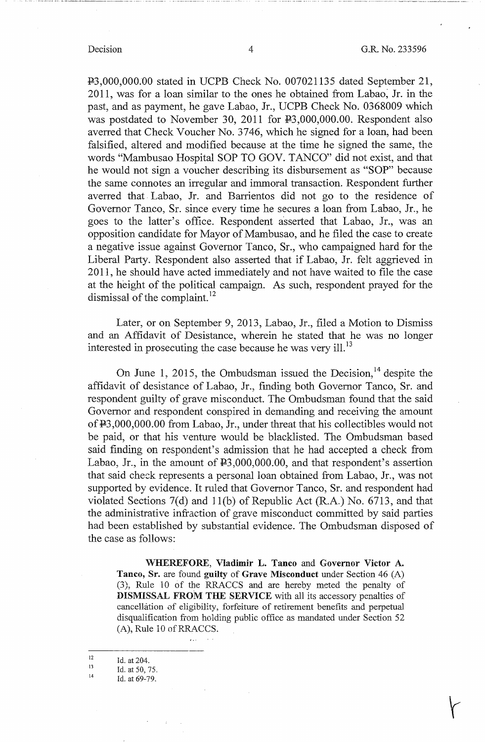---------- --- - --------- ··------------- ---- ---- ·····-· --------------

P3,000,000.00 stated in UCPB Check No. 007021135 dated September 21, 2011, was for a loan similar to the ones he obtained from Labao, Jr. in the past, and as payment, he gave Labao, Jr., UCPB Check No. 0368009 which was postdated to November 30, 2011 for P3,000,000.00. Respondent also averred that Check Voucher No. 3746, which he signed for a loan, had been falsified, altered and modified because at the time he signed the same, the words "Mambusao Hospital SOP TO GOV. TANCO" did not exist, and that he would not sign a voucher describing its disbursement as "SOP" because the same connotes an irregular and immoral transaction. Respondent further averred that. Labao, Jr. and Barrientos did not go to the residence of Governor Tanco, Sr. since every time he secures a loan from Labao, Jr., he goes to the latter's office. Respondent asserted that Labao, Jr., was an opposition candidate for Mayor of Mambusao, and he filed the case to create a negative issue against Governor Tanco, Sr., who campaigned hard for the Liberal Party. Respondent also asserted that if Labao, Jr. felt aggrieved in 2011, he should have acted immediately and not have waited to file the case at the height of the political campaign. As such, respondent prayed for the dismissal of the complaint.<sup>12</sup>

Later, or on September 9, 2013, Labao, Jr., filed a Motion to Dismiss and an Affidavit of Desistance, wherein he stated that he was no longer interested in prosecuting the case because he was very ill.<sup>13</sup>

On June 1, 2015, the Ombudsman issued the Decision,  $14$  despite the affidavit of desistance of Labao, Jr., finding both Governor Tanco, Sr. and respondent guilty of grave misconduct. The Ombudsman found that the said Governor and respondent conspired in demanding and receiving the amount of P3,000,000.00 from Labao, Jr., under threat that his collectibles would not be paid, or that his venture would be blacklisted. The Ombudsman based said finding on respondent's admission that he had accepted a check from Labao, Jr., in the amount of  $\text{\texttt{P3}}$ ,000,000.00, and that respondent's assertion that said check represents a personal loan obtained from Labao, Jr., was not supported by evidence. It ruled that Governor Tanco, Sr. and respondent had violated Sections  $7(d)$  and  $11(b)$  of Republic Act (R.A.) No. 6713, and that the administrative infraction of grave misconduct committed by said parties had been established by substantial evidence. The Ombudsman disposed of the case as follows:

**\\THEREFORE, Vladimir L. Tanco** and **Governor Victor A. Tanco, Sr.** are found **guilty** of **Grave Misconduct** under Section 46 (A) (3), Rule 10 of the RRACCS and are hereby meted the penalty of **DISMISSAL FROM THE SERVICE** with all its accessory penalties of cancellation of eligibility, forfeiture of retirement benefits and perpetual disqualification from holding public office as mandated under Section 52  $(A)$ , Rule 10 of RRACCS.

12 Id. at 204.  $\epsilon$  .  $\epsilon$ 

- 13 Id. at 50, 75.
- 14 Id. at 69-79.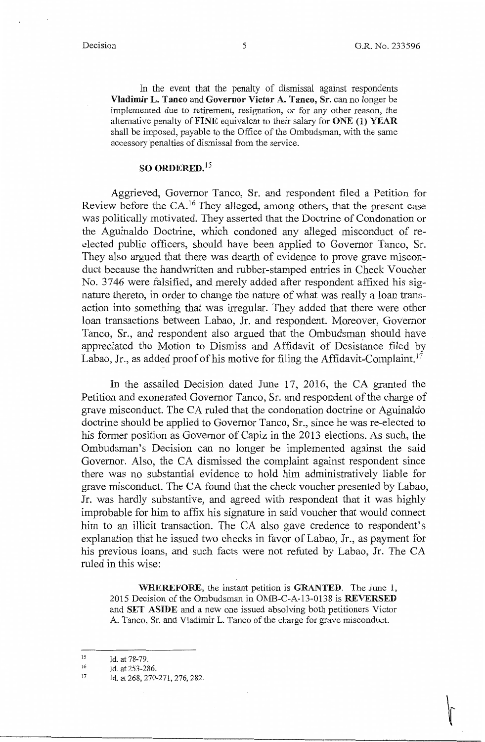In the event that the penalty of dismissal against respondents **Vladimir L. Tanco** and **Governor Victor A. Tanco, Sr.** can no longer be implemented due to retirement, resignation, or for any other reason, the alternative penalty of **FINE** equivalent to their salary for **ONE (1) YEAR**  shall be imposed, payable to the Office of the Ombudsman, with the same accessory penalties of dismissal from the service.

# **SO ORDERED. <sup>15</sup>**

Aggrieved, Governor Tanco, Sr. and respondent filed a Petition for Review before the CA.<sup>16</sup> They alleged, among others, that the present case was politically motivated. They asserted that the Doctrine of Condonation or the Aguinaldo Doctrine, which condoned any alleged misconduct of reelected public officers, should have been applied to Governor Tanco, Sr. They also argued that there was dearth of evidence to prove grave misconduct because the handwritten and rubber-stamped entries in Check Voucher No. 3746 were falsified, and merely added after respondent affixed his signature thereto, in order to change the nature of what was really a loan transaction into something that was irregular. They added that there were other loan transactions between Labao, Jr. and respondent. Moreover, Governor Tanco, Sr., and respondent also argued that the Ombudsman should have appreciated the Motion to Dismiss and Affidavit of Desistance filed by Labao, Jr., as added proof of his motive for filing the Affidavit-Complaint.<sup>17</sup>

In the assailed Decision dated June 17, 2016, the CA granted the Petition and exonerated Governor Tanco, Sr. and respondent of the charge of grave misconduct. The CA ruled that the condonation doctrine or Aguinaldo doctrine should be applied to Governor Tanco, Sr., since he was re-elected to his former position as Governor of Capiz in the 2013 elections. As such, the Ombudsman's Decision can no longer be implemented against the said Governor. Also, the CA dismissed the complaint against respondent since there was no substantial evidence to hold him administratively liable for grave misconduct. The CA found that the check voucher presented by Labao, Jr. was hardly substantive, and agreed with respondent that it was highly improbable for him to affix his signature in said voucher that would connect him to an illicit transaction. The CA also gave credence to respondent's explanation that he issued two checks in favor of Labao, Jr., as payment for his previous loans, and such facts were not refuted by Labao, Jr. The CA ruled in this wise:

**WHEREFORE,** the instant petition is **GRANTED.** The June 1, 2015 Decision of the Ombudsman in OMB-C-A-13-0138 is **REVERSED**  and **SET ASIDE** and a new one issued absolving both petitioners Victor A. Tanco, Sr. and Vladimir L. Tanco of the charge for grave misconduct.

<sup>15</sup>  Id. at 78-79.

<sup>16</sup>  Id. at 253-286.

<sup>17</sup>  Id. at 268, 270-271, 276, 282.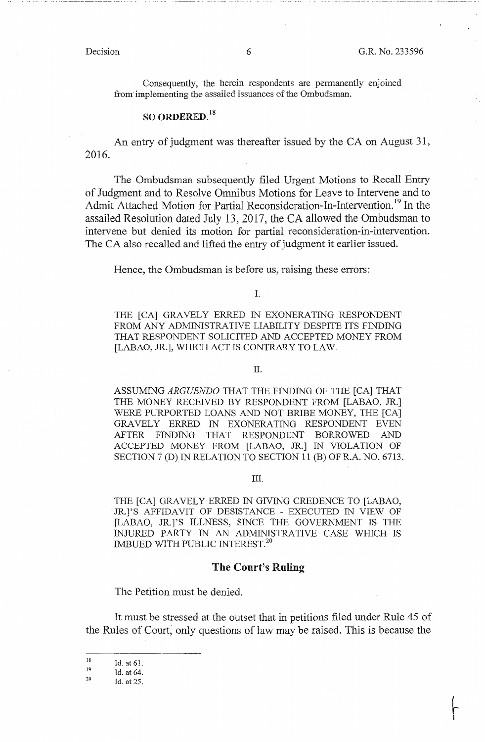Consequently, the herein respondents are permanently enjoined from· implementing the assailed issuances of the Ombudsman.

### **SO ORDERED. <sup>18</sup>**

An entry of judgment was thereafter issued by the CA on August 31, 2016.

The Ombudsman subsequently filed Urgent Motions to Recall Entry of Judgment and to Resolve Omnibus Motions for Leave to Intervene and to Admit Attached Motion for Partial Reconsideration-In-Intervention.<sup>19</sup> In the assailed Resolution dated July 13, 2017, the CA allowed the Ombudsman to intervene but denied its motion for partial reconsideration-in-intervention. The CA also recalled and lifted the entry of judgment it earlier issued.

Hence, the Ombudsman is before us, raising these errors:

I.

THE [CA] GRAVELY ERRED IN EXONERATING RESPONDENT FROM ANY ADMINISTRATIVE LIABILITY DESPITE ITS FINDING THAT RESPONDENT SOLICITED AND ACCEPTED MONEY FROM [LABAO, JR.], WHICH ACT IS CONTRARY TO LAW.

II.

ASSUMING *ARGUENDO* THAT THE FINDING OF THE [CA] THAT THE MONEY RECEIVED BY RESPONDENT FROM [LABAO, JR.] WERE PURPORTED LOANS AND NOT BRIBE MONEY, THE [CA] GRAVELY ERRED IN EXONERATING RESPONDENT EVEN AFTER FINDING THAT RESPONDENT BORROWED AND ACCEPTED MONEY FROM [LABAO, JR.] IN VIOLATION OF SECTION 7 (D) IN RELATION TO SECTION 11 (B) OF R.A. NO. 6713.

### III.

THE [CA] GRAVELY ERRED IN GIVING CREDENCE TO [LABAO, JR.J'S AFFIDAVIT OF DESISTANCE - EXECUTED IN VIEW OF [LABAO, JR.]'S ILLNESS, SINCE THE GOVERNMENT IS THE INJlJRED PARTY IN AN ADMINISTRATIVE CASE WHICH IS IMBUED WITH PUBLIC INTEREST.<sup>20</sup>

#### **The Court's Ruling**

The Petition must be denied.

It must be stressed at the outset that in petitions filed under Rule 45 of the Rules of Court, only questions of law may be raised. This is because the

<sup>18</sup>  Id. at 61.

<sup>19</sup>  Id. at 64.

<sup>20</sup>  Id. at 25.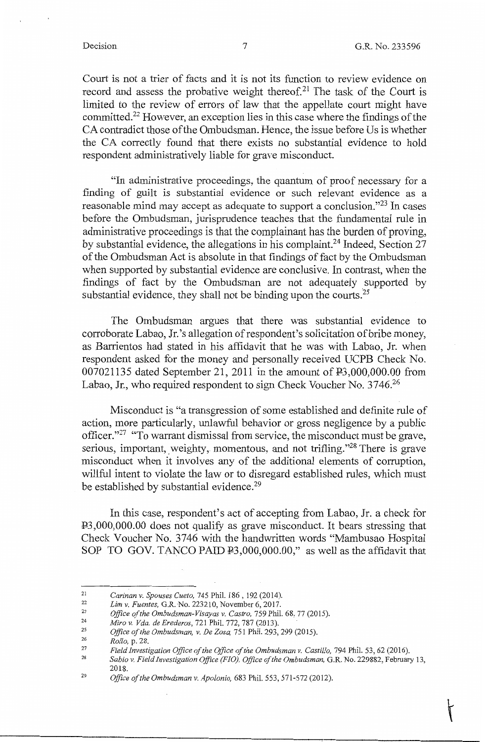Court is not a trier of facts and it is not its function to review evidence on record and assess the probative weight thereof.<sup>21</sup> The task of the Court is limited to the review of errors of law that the appellate court might have committed.22 However, an exception lies in this case where the findings of the CA contradict those of the Ombudsman. Hence, the issue before Us is whether the CA correctly found that there exists no substantial evidence to hold respondent administratively liable for grave misconduct.

"In administrative proceedings, the quantum of proof necessary for a finding of guilt is substantial evidence or such relevant evidence as a reasonable mind may accept as adequate to support a conclusion."<sup>23</sup> In cases before the Ombudsman, jurisprudence teaches that the fundamental rule in administrative proceedings is that the complainant has the burden of proving, by substantial evidence, the allegations in his complaint.<sup>24</sup> Indeed, Section 27 of the Ombudsman Act is absolute in that findings of fact by the Ombudsman when supported by substantial evidence are conclusive. In contrast, when the findings of fact by the Ombudsman are not adequately supported by substantial evidence, they shall not be binding upon the courts.<sup>25</sup>

The Ombudsman argues that there was substantial evidence to corroborate Labao, Jr. 's allegation of respondent's solicitation of bribe money, as Barrientos had stated in his affidavit that he was with Labao, Jr. when respondent asked for the money and personally received UCPB Check No. 007021135 dated September 21, 2011 in the amount of F3,000,000.00 from Labao, Jr., who required respondent to sign Check Voucher No. 3746.<sup>26</sup>

Misconduct is "a transgression of some established and definite rule of action, more particularly, unlawful behavior or gross negligence by a public officer."27 "To warrant dismissal from service, the misconduct must be grave, serious, important, weighty, momentous, and not trifling."<sup>28</sup> There is grave misconduct when it involves any of the additional elements of corruption, willful intent to violate the law or to disregard established rules, which must be established by substantial evidence.<sup>29</sup>

In this case, respondent's act of accepting from Labao, Jr. a check for F3,000,000.00 does not qualify as grave misconduct. It bears stressing that Check Voucher No. 3746 with the handwritten words "Mambusao Hospital SOP TO GOV. TANCO PAID  $\overline{P}3,000,000.00$ ," as well as the affidavit that

*Sabio v. Field Investigation Office (FIG), Office of the Ombudsman,* G.R. No. 229882, February 13, 2018.

<sup>21</sup>  *Carinan v. Spouses Cueto,* 745 Phil. 186, 192 (2014).

<sup>22</sup>  *Lim v. Fuentes,* G.R. No. 223210, November 6,2017.

<sup>23</sup>  *Office of the Ombudsman-Visayas v. Castro,* 759 Phil. 68, 77 (2015).

<sup>24</sup>  *Miro v. Vda. de Erederos,* 721 Phil. 772, 787 (2013).

<sup>25</sup>  *Office of the Ombudsman, v. De Zosa,* 751 Phil. 293,299 (2015).

<sup>26</sup>  *Rollo,* p. 28.

<sup>27</sup>  28 Field Investigation Office of the Office of the Ombudsman v. Castillo, 794 Phil. 53, 62 (2016).

<sup>29</sup>  *Office of the Ombudsman v. Apolonio,* 683 Phil. 553, 571-572 (2012).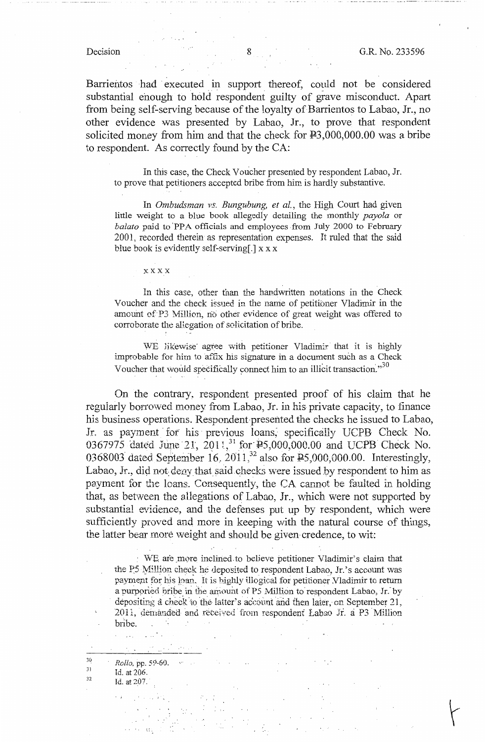Barrientos had executed in support thereof, could not be considered substantial enough to hold respondent guilty of grave misconduct. Apart from being self-serving because of the loyalty of Barrientos to Labao, Jr., no other evidence was presented by Labao, Jr., to prove that respondent solicited money from him and that the check for  $E3,000,000.00$  was a bribe to respondent. As correctly found by the CA:

In this case, the Check Voucher presented by respondent Labao, Jr. to prove that petitioners accepted bribe from him is hardly substantive.

In *Ombudsman vs. Bungubung, et al.,* the High Court had given little weight to a blue book allegedly detailing the monthly *payola* or *balato* paid to 'PPA officials and employees .from July 2000 to February 2001, recorded therein as representation expenses. It ruled that the said blue book is evidently self-serving[.] xx x

xxxx

In this case, other than the handwritten notations in the Check Voucher and the check issued in the name of petitioner Vladimir in the amount of P3 Million, no other evidence of great weight was offered to corroborate the aUegation of solicitation of bribe.

WE likewise agree with petitioner Vladimir that it is highly improbable for him to affix his signature in a document such as a Check Voucher that would specifically connect him to an illicit transaction.<sup>"30</sup> . .

On the contrary, respondent presented proof of his claim that he reguiarly borrowed money from Labao, Jr. in his private capacity, to finance his business operations. Respondent presented the checks he issued to Labao, Jr. as payment for his previous loans, specifically UCPB Check No. 0367975 dated June 21, 2011,<sup>31</sup> for  $\overline{P5,000,000.00}$  and UCPB Check No. 0368003 dated September 16, 2011,<sup>32</sup> also for P5,000,000.00. Interestingly, Labao, Jr., did not deny that said checks were issued by respondent to him as payment for the loans. Consequently, the CA cannot be faulted in holding that, as between the allegations of Labao, Jr., \Vhich were not supported by substantial evidence, and the defenses put up by respondent, which were sufficiently proved and more in keeping with the natural course of things, the latter bear more weight and should be given credence, to wit:

· \VE are \_mQre inclined. to believe petitioner Vladimir's claim that the P<sub>5</sub> Million check he deposited to respondent Labao, Jr.'s account was payment for his loan. It is bighly illogical for petitioner Vladimir to return a purported bribe in the amount of P5 Million to respondent Labao, Jr. by depositing a check to the latter's account and then later, on September 21, 2011, demanded and received from respondent Labao Jr. a P3 Million bribe.

30 31 32 *Rollo,* pp. 59-60. Id. at 206. Id. at 207.

 $\cdots$ 

Report Follows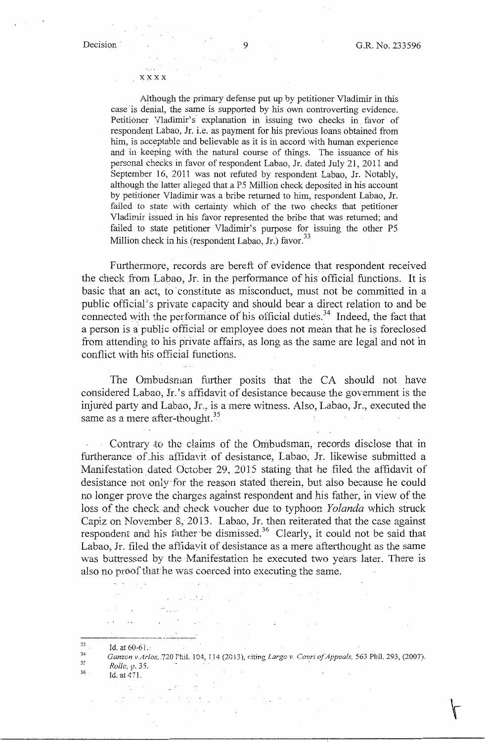#### xxxx

Although the primary defense put up by petitioner Vladimir in this case 'is denial, the same is supported by his own controverting evidence. Petitioner Vladimir's explanation in issuing two checks in favor of respondent Labao, Jr. i.e. as payment for his previous loans obtained from him, is acceptable and believable as it is in accord with human experience and in keeping with the natural course of things. The issuance of his personal checks in favor of respondent Labao, Jr. dated July 21, 2011 and September 16, 2011 was not refuted by respondent Labao, Jr. Notably, although the latter alleged that a *PS* Million check deposited in his account by petitioner Vladimir was a bribe returned to him, respondent Labao, Jr. failed to state with certainty which of the two checks that petitioner Vladimir issued in his favor represented the bribe that was returned; and failed to state petitioner Vladimir's purpose for issuing the other *PS*  Million check in his (respondent Labao, Jr.) favor.<sup>33</sup>

Furthermore, records are bereft of evidence that respondent received the check from Labao, Jr. in the performance of his official functions. It is basic that an act, to constitute as misconduct, must not be committed in a public official's private capacity and should bear a direct relation to and be connected with the performance of his official duties.<sup>34</sup> Indeed, the fact that a person is a public official or employee does not mean that he is foreclosed from attending to his private affairs, as long as the same are legal and not in conflict with his official functions.

The Ombudsman further posits that the CA should not have considered Labao, Jr.'s affidavit of desistance because the government is the injured party and Labao, Jr., is a mere witness. Also, Labao, Jr., executed the same as a mere after-thought. $35$ 

Contrary to the claims of the Ombudsman, records disclose that in furtherance of .his affidavit of desistance, Labao, Jr. likewise submitted a Manifestation dated October 29, 2015 stating that he filed the affidavit of desistance not only for the reason stated therein, but also because he could no longer prove the charges against respondent and his father, in view of the loss of the check and check voucher due to typhoon *Yolanda* which struck Capiz on November 8, 2013. Labao, Jr. then reiterated that the case against respondent and his father be dismissed.<sup>36</sup> Clearly, it could not be said that Labao, Jr. filed the affidavit of desistance as a mere afterthought as the same was buttressed by the Manifestation he executed two years later. There is also no proof that he was coerced into executing the same.

in province

- 
- $Rollc, p. 35.$ <br>36  $Id.$  at 471.

<sup>23</sup> Id. at 60-61.<br>34 *Ganzon v. Arlos, 720 Fhil. 104, 114 (2013), citing <i>Largo v. Court of Appeals*, 563 Phil. 293, (2007).<br><sup>35</sup> Rollo v. <sup>35</sup>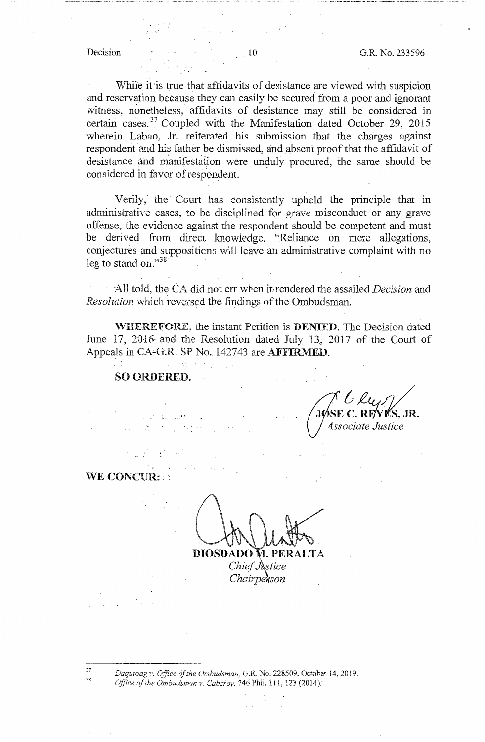#### Decision

While it is true that affidavits of desistance are viewed with suspicion and reservation because they can easily be secured from a poor and ignorant witness, nonetheless, affidavits of desistance may still be considered in certain cases.<sup>37</sup> Coupled with the Manifestation dated October 29, 2015 wherein Labao, Jr. reiterated his submission that the charges against respondent and his father be dismissed, and absent proof that the affidavit of desistance and manifestation were unduly procured, the same should be considered in favor of respondent.

Verily, the Court has consistently upheld the principle that in administrative cases, to be disciplined for grave misconduct or any grave offense, the evidence against the respondent should be competent and must be derived from direct knowledge. "Reliance on mere allegations, conjectures and suppositions will leave an administrative complaint with no leg to stand on." $38$ 

All told, the CA did not err when it rendered the assailed *Decision* and Resolution which reversed the findings of the Ombudsman.

WHEREFORE, the instant Petition is DENIED. The Decision dated June 17, 2016 and the Resolution dated July 13, 2017 of the Court of Appeals in CA-G.R. SP No. 142743 are AFFIRMED.

### SO ORDERED.

ĽS, JR. Associate Justice

## WE CONCUR:

DIOSDADO M. PERALTA. Chief Justice Chairpekson

37 38

Daquicag v. Office of the Ombudsman, G.R. No. 228509. October 14, 2019. Office of the Ombudsman v. Caberoy, 746 Phil. 111, 123 (2014).